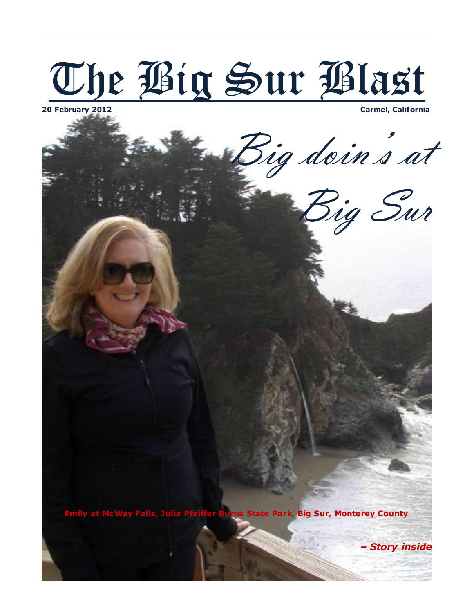

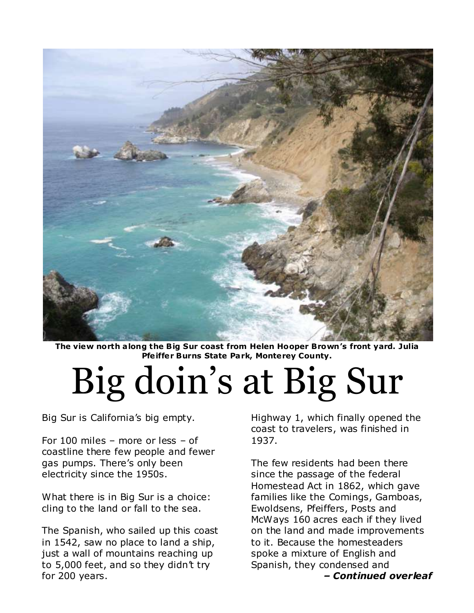

**The view north a long the Big Sur coast from Helen Hooper Brown's front yard. Julia Pfe iffer Burns State Park, Monterey County.**

## Big doin's at Big Sur

Big Sur is California's big empty.

For 100 miles – more or less – of coastline there few people and fewer gas pumps. There's only been electricity since the 1950s.

What there is in Big Sur is a choice: cling to the land or fall to the sea.

The Spanish, who sailed up this coast in 1542, saw no place to land a ship, just a wall of mountains reaching up to 5,000 feet, and so they didn't try for 200 years.

Highway 1, which finally opened the coast to travelers, was finished in 1937.

The few residents had been there since the passage of the federal Homestead Act in 1862, which gave families like the Comings, Gamboas, Ewoldsens, Pfeiffers, Posts and McWays 160 acres each if they lived on the land and made improvements to it. Because the homesteaders spoke a mixture of English and Spanish, they condensed and

*– Continued overleaf*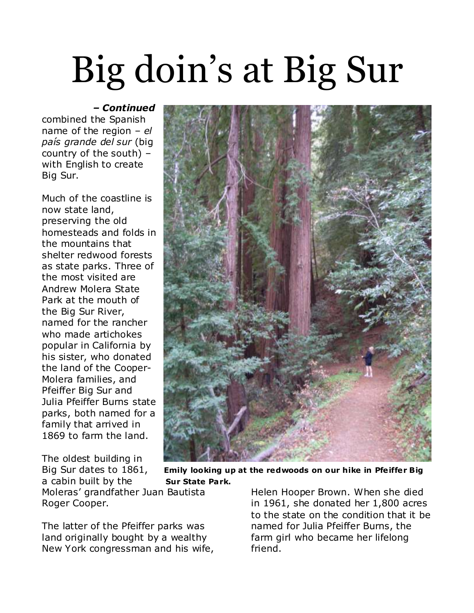## Big doin's at Big Sur

## *– Continued*

combined the Spanish name of the region – *el país grande del sur* (big country of the south) – with English to create Big Sur.

Much of the coastline is now state land, preserving the old homesteads and folds in the mountains that shelter redwood forests as state parks. Three of the most visited are Andrew Molera State Park at the mouth of the Big Sur River, named for the rancher who made artichokes popular in California by his sister, who donated the land of the Cooper-Molera families, and Pfeiffer Big Sur and Julia Pfeiffer Burns state parks, both named for a family that arrived in 1869 to farm the land.

The oldest building in a cabin built by the **Sur State Park.** Moleras' grandfather Juan Bautista Roger Cooper.

The latter of the Pfeiffer parks was land originally bought by a wealthy New York congressman and his wife, Helen Hooper Brown. When she died in 1961, she donated her 1,800 acres to the state on the condition that it be named for Julia Pfeiffer Burns, the farm girl who became her lifelong friend.



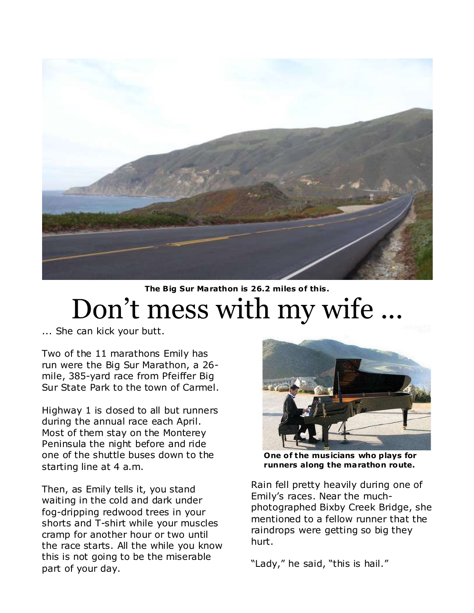

## **The Big Sur Marathon is 26.2 miles of this.** Don't mess with my wife

... She can kick your butt.

Two of the 11 marathons Emily has run were the Big Sur Marathon, a 26 mile, 385-yard race from Pfeiffer Big Sur State Park to the town of Carmel.

Highway 1 is closed to all but runners during the annual race each April. Most of them stay on the Monterey Peninsula the night before and ride one of the shuttle buses down to the starting line at 4 a.m.

Then, as Emily tells it, you stand waiting in the cold and dark under fog-dripping redwood trees in your shorts and T-shirt while your muscles cramp for another hour or two until the race starts. All the while you know this is not going to be the miserable part of your day.



 **One of the mus icians who plays for runners along the marathon route.**

Rain fell pretty heavily during one of Emily's races. Near the muchphotographed Bixby Creek Bridge, she mentioned to a fellow runner that the raindrops were getting so big they hurt.

"Lady," he said, "this is hail."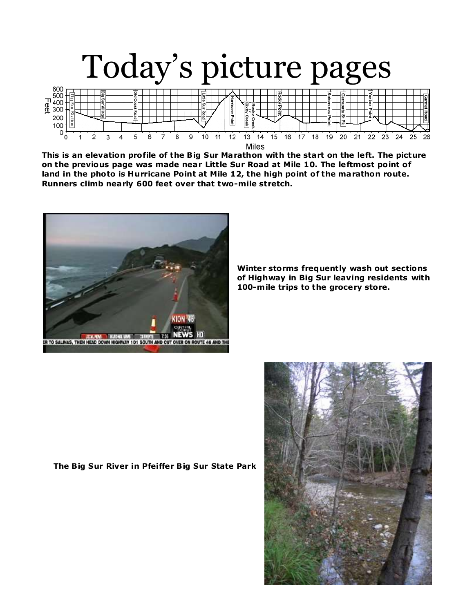

**This is an elevation profile of the Big Sur Marathon with the start on the left. The picture on the previous page was made near Little Sur Road at Mile 10. The leftmost point of land in the photo is Hurricane Point at Mile 12, the high point of the marathon route. Runners climb nearly 600 feet over that two-mile stretch.**



**Winter storms frequently wash out sections of Highway in Big Sur leaving residents with 100-m ile trips to the grocery store.**

**The Big Sur River in Pfeiffer Big Sur State Park**